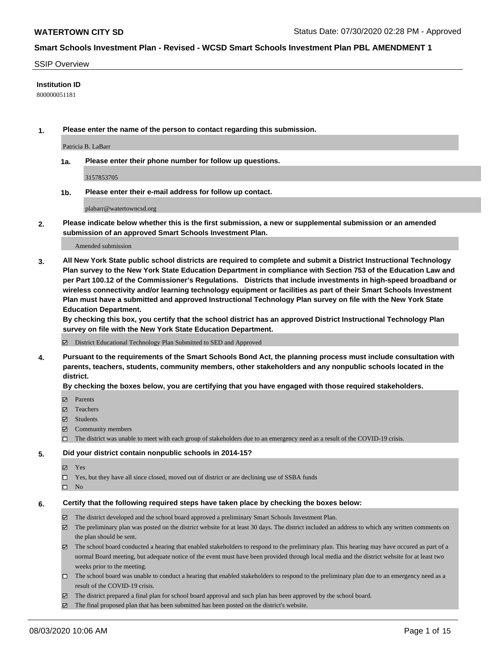## SSIP Overview

## **Institution ID**

800000051181

**1. Please enter the name of the person to contact regarding this submission.**

Patricia B. LaBarr

**1a. Please enter their phone number for follow up questions.**

3157853705

**1b. Please enter their e-mail address for follow up contact.**

plabarr@watertowncsd.org

**2. Please indicate below whether this is the first submission, a new or supplemental submission or an amended submission of an approved Smart Schools Investment Plan.**

## Amended submission

**3. All New York State public school districts are required to complete and submit a District Instructional Technology Plan survey to the New York State Education Department in compliance with Section 753 of the Education Law and per Part 100.12 of the Commissioner's Regulations. Districts that include investments in high-speed broadband or wireless connectivity and/or learning technology equipment or facilities as part of their Smart Schools Investment Plan must have a submitted and approved Instructional Technology Plan survey on file with the New York State Education Department.** 

**By checking this box, you certify that the school district has an approved District Instructional Technology Plan survey on file with the New York State Education Department.**

District Educational Technology Plan Submitted to SED and Approved

**4. Pursuant to the requirements of the Smart Schools Bond Act, the planning process must include consultation with parents, teachers, students, community members, other stakeholders and any nonpublic schools located in the district.** 

## **By checking the boxes below, you are certifying that you have engaged with those required stakeholders.**

- **Ø** Parents
- Teachers
- Students
- $\boxtimes$  Community members
- The district was unable to meet with each group of stakeholders due to an emergency need as a result of the COVID-19 crisis.

## **5. Did your district contain nonpublic schools in 2014-15?**

- **冈** Yes
- Yes, but they have all since closed, moved out of district or are declining use of SSBA funds
- $\square$  No

## **6. Certify that the following required steps have taken place by checking the boxes below:**

- The district developed and the school board approved a preliminary Smart Schools Investment Plan.
- $\boxtimes$  The preliminary plan was posted on the district website for at least 30 days. The district included an address to which any written comments on the plan should be sent.
- $\boxtimes$  The school board conducted a hearing that enabled stakeholders to respond to the preliminary plan. This hearing may have occured as part of a normal Board meeting, but adequate notice of the event must have been provided through local media and the district website for at least two weeks prior to the meeting.
- The school board was unable to conduct a hearing that enabled stakeholders to respond to the preliminary plan due to an emergency need as a result of the COVID-19 crisis.
- The district prepared a final plan for school board approval and such plan has been approved by the school board.
- $\boxtimes$  The final proposed plan that has been submitted has been posted on the district's website.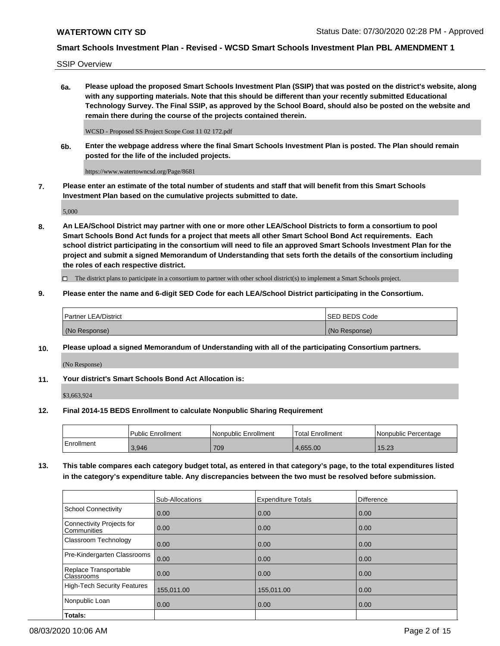SSIP Overview

**6a. Please upload the proposed Smart Schools Investment Plan (SSIP) that was posted on the district's website, along with any supporting materials. Note that this should be different than your recently submitted Educational Technology Survey. The Final SSIP, as approved by the School Board, should also be posted on the website and remain there during the course of the projects contained therein.**

WCSD - Proposed SS Project Scope Cost 11 02 172.pdf

**6b. Enter the webpage address where the final Smart Schools Investment Plan is posted. The Plan should remain posted for the life of the included projects.**

https://www.watertowncsd.org/Page/8681

**7. Please enter an estimate of the total number of students and staff that will benefit from this Smart Schools Investment Plan based on the cumulative projects submitted to date.**

5,000

**8. An LEA/School District may partner with one or more other LEA/School Districts to form a consortium to pool Smart Schools Bond Act funds for a project that meets all other Smart School Bond Act requirements. Each school district participating in the consortium will need to file an approved Smart Schools Investment Plan for the project and submit a signed Memorandum of Understanding that sets forth the details of the consortium including the roles of each respective district.**

 $\Box$  The district plans to participate in a consortium to partner with other school district(s) to implement a Smart Schools project.

## **9. Please enter the name and 6-digit SED Code for each LEA/School District participating in the Consortium.**

| <sup>I</sup> Partner LEA/District | <b>ISED BEDS Code</b> |
|-----------------------------------|-----------------------|
| (No Response)                     | (No Response)         |

## **10. Please upload a signed Memorandum of Understanding with all of the participating Consortium partners.**

(No Response)

**11. Your district's Smart Schools Bond Act Allocation is:**

\$3,663,924

## **12. Final 2014-15 BEDS Enrollment to calculate Nonpublic Sharing Requirement**

|            | Public Enrollment | Nonpublic Enrollment | Total Enrollment | l Nonpublic Percentage |
|------------|-------------------|----------------------|------------------|------------------------|
| Enrollment | 3,946             | 709                  | 4.655.00         | 15.00<br>15.Z3         |

**13. This table compares each category budget total, as entered in that category's page, to the total expenditures listed in the category's expenditure table. Any discrepancies between the two must be resolved before submission.**

|                                          | Sub-Allocations | <b>Expenditure Totals</b> | <b>Difference</b> |
|------------------------------------------|-----------------|---------------------------|-------------------|
| <b>School Connectivity</b>               | 0.00            | 0.00                      | 0.00              |
| Connectivity Projects for<br>Communities | 0.00            | 0.00                      | 0.00              |
| Classroom Technology                     | 0.00            | 0.00                      | 0.00              |
| Pre-Kindergarten Classrooms              | 0.00            | 0.00                      | 0.00              |
| Replace Transportable<br>Classrooms      | 0.00            | 0.00                      | 0.00              |
| High-Tech Security Features              | 155,011.00      | 155,011.00                | 0.00              |
| Nonpublic Loan                           | 0.00            | 0.00                      | 0.00              |
| Totals:                                  |                 |                           |                   |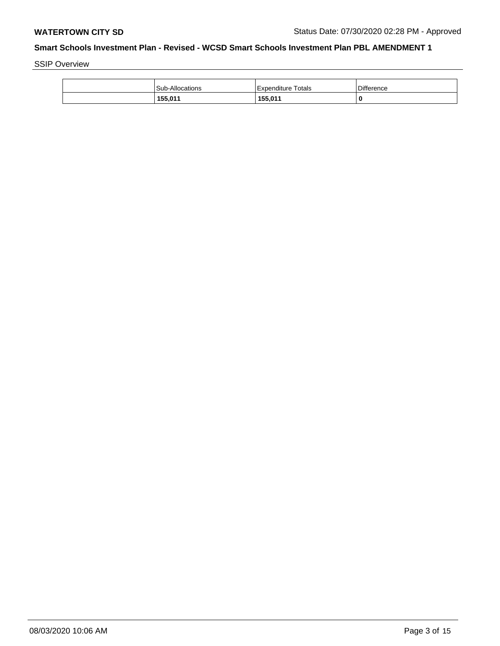SSIP Overview

| <b>Sub-Allocations</b> | Expenditure Totals | <b>Difference</b> |
|------------------------|--------------------|-------------------|
| 155,011                | 155,011            | 0                 |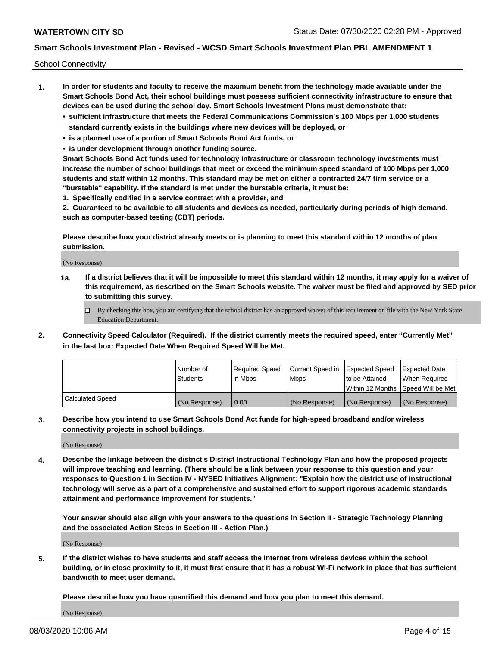School Connectivity

- **1. In order for students and faculty to receive the maximum benefit from the technology made available under the Smart Schools Bond Act, their school buildings must possess sufficient connectivity infrastructure to ensure that devices can be used during the school day. Smart Schools Investment Plans must demonstrate that:**
	- **• sufficient infrastructure that meets the Federal Communications Commission's 100 Mbps per 1,000 students standard currently exists in the buildings where new devices will be deployed, or**
	- **• is a planned use of a portion of Smart Schools Bond Act funds, or**
	- **• is under development through another funding source.**

**Smart Schools Bond Act funds used for technology infrastructure or classroom technology investments must increase the number of school buildings that meet or exceed the minimum speed standard of 100 Mbps per 1,000 students and staff within 12 months. This standard may be met on either a contracted 24/7 firm service or a "burstable" capability. If the standard is met under the burstable criteria, it must be:**

**1. Specifically codified in a service contract with a provider, and**

**2. Guaranteed to be available to all students and devices as needed, particularly during periods of high demand, such as computer-based testing (CBT) periods.**

**Please describe how your district already meets or is planning to meet this standard within 12 months of plan submission.**

(No Response)

**1a. If a district believes that it will be impossible to meet this standard within 12 months, it may apply for a waiver of this requirement, as described on the Smart Schools website. The waiver must be filed and approved by SED prior to submitting this survey.**

 $\Box$  By checking this box, you are certifying that the school district has an approved waiver of this requirement on file with the New York State Education Department.

**2. Connectivity Speed Calculator (Required). If the district currently meets the required speed, enter "Currently Met" in the last box: Expected Date When Required Speed Will be Met.**

|                  | l Number of     | Required Speed | Current Speed in | Expected Speed | Expected Date                        |
|------------------|-----------------|----------------|------------------|----------------|--------------------------------------|
|                  | <b>Students</b> | In Mbps        | <b>Mbps</b>      | to be Attained | When Required                        |
|                  |                 |                |                  |                | Within 12 Months 1Speed Will be Met1 |
| Calculated Speed | (No Response)   | 0.00           | (No Response)    | (No Response)  | l (No Response)                      |

**3. Describe how you intend to use Smart Schools Bond Act funds for high-speed broadband and/or wireless connectivity projects in school buildings.**

(No Response)

**4. Describe the linkage between the district's District Instructional Technology Plan and how the proposed projects will improve teaching and learning. (There should be a link between your response to this question and your responses to Question 1 in Section IV - NYSED Initiatives Alignment: "Explain how the district use of instructional technology will serve as a part of a comprehensive and sustained effort to support rigorous academic standards attainment and performance improvement for students."** 

**Your answer should also align with your answers to the questions in Section II - Strategic Technology Planning and the associated Action Steps in Section III - Action Plan.)**

(No Response)

**5. If the district wishes to have students and staff access the Internet from wireless devices within the school building, or in close proximity to it, it must first ensure that it has a robust Wi-Fi network in place that has sufficient bandwidth to meet user demand.**

**Please describe how you have quantified this demand and how you plan to meet this demand.**

(No Response)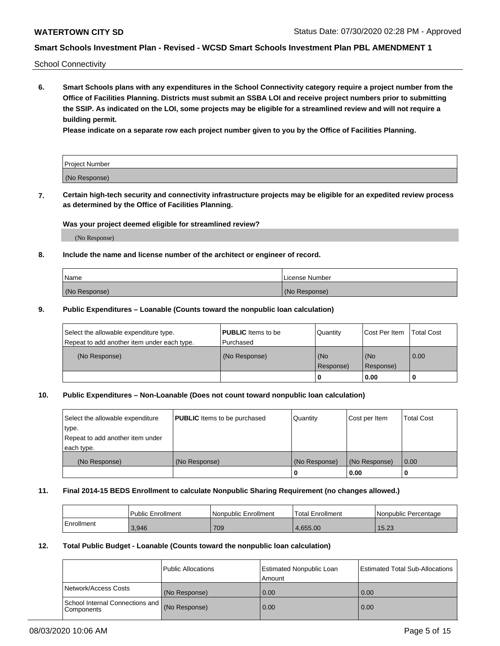School Connectivity

**6. Smart Schools plans with any expenditures in the School Connectivity category require a project number from the Office of Facilities Planning. Districts must submit an SSBA LOI and receive project numbers prior to submitting the SSIP. As indicated on the LOI, some projects may be eligible for a streamlined review and will not require a building permit.**

**Please indicate on a separate row each project number given to you by the Office of Facilities Planning.**

| Project Number |  |
|----------------|--|
| (No Response)  |  |

**7. Certain high-tech security and connectivity infrastructure projects may be eligible for an expedited review process as determined by the Office of Facilities Planning.**

## **Was your project deemed eligible for streamlined review?**

(No Response)

## **8. Include the name and license number of the architect or engineer of record.**

| Name          | License Number |
|---------------|----------------|
| (No Response) | (No Response)  |

## **9. Public Expenditures – Loanable (Counts toward the nonpublic loan calculation)**

| Select the allowable expenditure type.<br>Repeat to add another item under each type. | <b>PUBLIC</b> Items to be<br>l Purchased | Quantity           | Cost Per Item    | <b>Total Cost</b> |
|---------------------------------------------------------------------------------------|------------------------------------------|--------------------|------------------|-------------------|
| (No Response)                                                                         | (No Response)                            | l (No<br>Response) | (No<br>Response) | $\overline{0.00}$ |
|                                                                                       |                                          | O                  | 0.00             |                   |

## **10. Public Expenditures – Non-Loanable (Does not count toward nonpublic loan calculation)**

| Select the allowable expenditure<br>type.<br>Repeat to add another item under<br>each type. | <b>PUBLIC</b> Items to be purchased | Quantity      | Cost per Item | <b>Total Cost</b> |
|---------------------------------------------------------------------------------------------|-------------------------------------|---------------|---------------|-------------------|
| (No Response)                                                                               | (No Response)                       | (No Response) | (No Response) | 0.00              |
|                                                                                             |                                     |               | 0.00          |                   |

## **11. Final 2014-15 BEDS Enrollment to calculate Nonpublic Sharing Requirement (no changes allowed.)**

|            | Public Enrollment | Nonpublic Enrollment | 'Total Enrollment | l Nonpublic Percentage |
|------------|-------------------|----------------------|-------------------|------------------------|
| Enrollment | 3,946             | 709                  | 4.655.00          | 15.23                  |

## **12. Total Public Budget - Loanable (Counts toward the nonpublic loan calculation)**

|                                               | Public Allocations | <b>Estimated Nonpublic Loan</b><br>Amount | Estimated Total Sub-Allocations |
|-----------------------------------------------|--------------------|-------------------------------------------|---------------------------------|
| Network/Access Costs                          | (No Response)      | 0.00                                      | 0.00                            |
| School Internal Connections and<br>Components | (No Response)      | 0.00                                      | 0.00                            |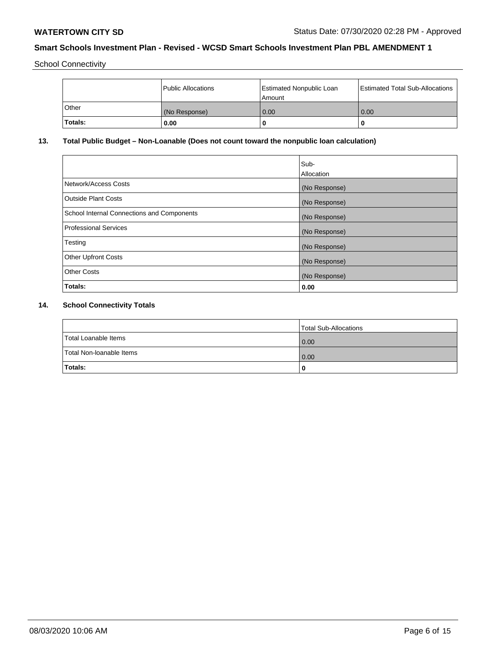School Connectivity

|                | Public Allocations | <b>Estimated Nonpublic Loan</b><br>Amount | <b>Estimated Total Sub-Allocations</b> |
|----------------|--------------------|-------------------------------------------|----------------------------------------|
| l Other        | (No Response)      | 0.00                                      | 0.00                                   |
| <b>Totals:</b> | 0.00               | 0                                         |                                        |

# **13. Total Public Budget – Non-Loanable (Does not count toward the nonpublic loan calculation)**

|                                                   | Sub-<br>Allocation |
|---------------------------------------------------|--------------------|
| Network/Access Costs                              | (No Response)      |
| Outside Plant Costs                               | (No Response)      |
| <b>School Internal Connections and Components</b> | (No Response)      |
| Professional Services                             | (No Response)      |
| Testing                                           | (No Response)      |
| <b>Other Upfront Costs</b>                        | (No Response)      |
| <b>Other Costs</b>                                | (No Response)      |
| Totals:                                           | 0.00               |

# **14. School Connectivity Totals**

|                          | Total Sub-Allocations |
|--------------------------|-----------------------|
| Total Loanable Items     | 0.00                  |
| Total Non-Ioanable Items | 0.00                  |
| Totals:                  | 0                     |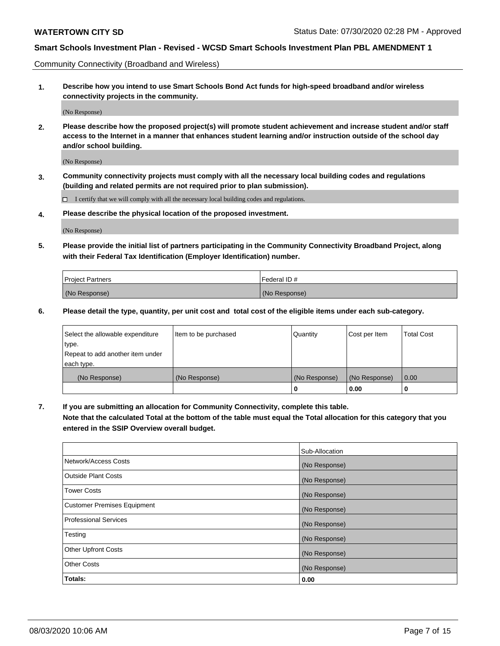Community Connectivity (Broadband and Wireless)

**1. Describe how you intend to use Smart Schools Bond Act funds for high-speed broadband and/or wireless connectivity projects in the community.**

(No Response)

**2. Please describe how the proposed project(s) will promote student achievement and increase student and/or staff access to the Internet in a manner that enhances student learning and/or instruction outside of the school day and/or school building.**

(No Response)

**3. Community connectivity projects must comply with all the necessary local building codes and regulations (building and related permits are not required prior to plan submission).**

 $\Box$  I certify that we will comply with all the necessary local building codes and regulations.

**4. Please describe the physical location of the proposed investment.**

(No Response)

**5. Please provide the initial list of partners participating in the Community Connectivity Broadband Project, along with their Federal Tax Identification (Employer Identification) number.**

| <b>Project Partners</b> | l Federal ID # |
|-------------------------|----------------|
| (No Response)           | (No Response)  |

**6. Please detail the type, quantity, per unit cost and total cost of the eligible items under each sub-category.**

| Select the allowable expenditure | Item to be purchased | Quantity      | Cost per Item | <b>Total Cost</b> |
|----------------------------------|----------------------|---------------|---------------|-------------------|
| type.                            |                      |               |               |                   |
| Repeat to add another item under |                      |               |               |                   |
| each type.                       |                      |               |               |                   |
| (No Response)                    | (No Response)        | (No Response) | (No Response) | 0.00              |
|                                  |                      | o             | 0.00          |                   |

**7. If you are submitting an allocation for Community Connectivity, complete this table.**

**Note that the calculated Total at the bottom of the table must equal the Total allocation for this category that you entered in the SSIP Overview overall budget.**

|                                    | Sub-Allocation |
|------------------------------------|----------------|
| Network/Access Costs               | (No Response)  |
| Outside Plant Costs                | (No Response)  |
| <b>Tower Costs</b>                 | (No Response)  |
| <b>Customer Premises Equipment</b> | (No Response)  |
| <b>Professional Services</b>       | (No Response)  |
| Testing                            | (No Response)  |
| <b>Other Upfront Costs</b>         | (No Response)  |
| <b>Other Costs</b>                 | (No Response)  |
| Totals:                            | 0.00           |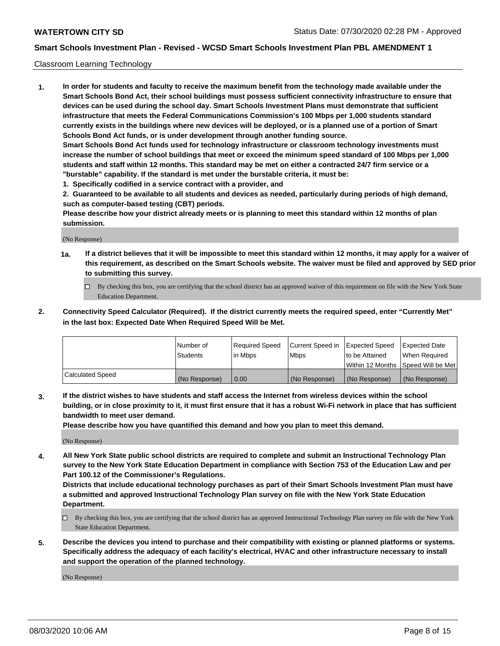## Classroom Learning Technology

**1. In order for students and faculty to receive the maximum benefit from the technology made available under the Smart Schools Bond Act, their school buildings must possess sufficient connectivity infrastructure to ensure that devices can be used during the school day. Smart Schools Investment Plans must demonstrate that sufficient infrastructure that meets the Federal Communications Commission's 100 Mbps per 1,000 students standard currently exists in the buildings where new devices will be deployed, or is a planned use of a portion of Smart Schools Bond Act funds, or is under development through another funding source. Smart Schools Bond Act funds used for technology infrastructure or classroom technology investments must increase the number of school buildings that meet or exceed the minimum speed standard of 100 Mbps per 1,000 students and staff within 12 months. This standard may be met on either a contracted 24/7 firm service or a "burstable" capability. If the standard is met under the burstable criteria, it must be:**

**1. Specifically codified in a service contract with a provider, and**

**2. Guaranteed to be available to all students and devices as needed, particularly during periods of high demand, such as computer-based testing (CBT) periods.**

**Please describe how your district already meets or is planning to meet this standard within 12 months of plan submission.**

(No Response)

- **1a. If a district believes that it will be impossible to meet this standard within 12 months, it may apply for a waiver of this requirement, as described on the Smart Schools website. The waiver must be filed and approved by SED prior to submitting this survey.**
	- By checking this box, you are certifying that the school district has an approved waiver of this requirement on file with the New York State Education Department.
- **2. Connectivity Speed Calculator (Required). If the district currently meets the required speed, enter "Currently Met" in the last box: Expected Date When Required Speed Will be Met.**

|                         | Number of     | Required Speed | Current Speed in | Expected Speed | <b>Expected Date</b>                 |
|-------------------------|---------------|----------------|------------------|----------------|--------------------------------------|
|                         | Students      | l in Mbps      | <b>Mbps</b>      | to be Attained | When Reauired                        |
|                         |               |                |                  |                | Within 12 Months 1Speed Will be Met1 |
| <b>Calculated Speed</b> | (No Response) | 0.00           | (No Response)    | (No Response)  | (No Response)                        |

**3. If the district wishes to have students and staff access the Internet from wireless devices within the school building, or in close proximity to it, it must first ensure that it has a robust Wi-Fi network in place that has sufficient bandwidth to meet user demand.**

**Please describe how you have quantified this demand and how you plan to meet this demand.**

(No Response)

**4. All New York State public school districts are required to complete and submit an Instructional Technology Plan survey to the New York State Education Department in compliance with Section 753 of the Education Law and per Part 100.12 of the Commissioner's Regulations.**

**Districts that include educational technology purchases as part of their Smart Schools Investment Plan must have a submitted and approved Instructional Technology Plan survey on file with the New York State Education Department.**

- By checking this box, you are certifying that the school district has an approved Instructional Technology Plan survey on file with the New York State Education Department.
- **5. Describe the devices you intend to purchase and their compatibility with existing or planned platforms or systems. Specifically address the adequacy of each facility's electrical, HVAC and other infrastructure necessary to install and support the operation of the planned technology.**

(No Response)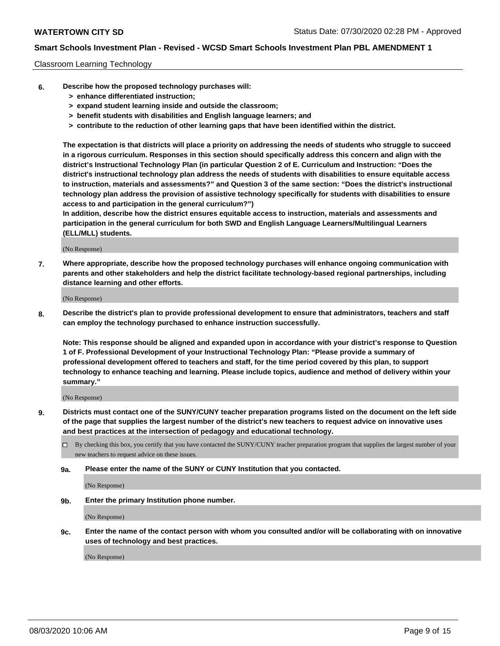## Classroom Learning Technology

- **6. Describe how the proposed technology purchases will:**
	- **> enhance differentiated instruction;**
	- **> expand student learning inside and outside the classroom;**
	- **> benefit students with disabilities and English language learners; and**
	- **> contribute to the reduction of other learning gaps that have been identified within the district.**

**The expectation is that districts will place a priority on addressing the needs of students who struggle to succeed in a rigorous curriculum. Responses in this section should specifically address this concern and align with the district's Instructional Technology Plan (in particular Question 2 of E. Curriculum and Instruction: "Does the district's instructional technology plan address the needs of students with disabilities to ensure equitable access to instruction, materials and assessments?" and Question 3 of the same section: "Does the district's instructional technology plan address the provision of assistive technology specifically for students with disabilities to ensure access to and participation in the general curriculum?")**

**In addition, describe how the district ensures equitable access to instruction, materials and assessments and participation in the general curriculum for both SWD and English Language Learners/Multilingual Learners (ELL/MLL) students.**

(No Response)

**7. Where appropriate, describe how the proposed technology purchases will enhance ongoing communication with parents and other stakeholders and help the district facilitate technology-based regional partnerships, including distance learning and other efforts.**

(No Response)

**8. Describe the district's plan to provide professional development to ensure that administrators, teachers and staff can employ the technology purchased to enhance instruction successfully.**

**Note: This response should be aligned and expanded upon in accordance with your district's response to Question 1 of F. Professional Development of your Instructional Technology Plan: "Please provide a summary of professional development offered to teachers and staff, for the time period covered by this plan, to support technology to enhance teaching and learning. Please include topics, audience and method of delivery within your summary."**

(No Response)

- **9. Districts must contact one of the SUNY/CUNY teacher preparation programs listed on the document on the left side of the page that supplies the largest number of the district's new teachers to request advice on innovative uses and best practices at the intersection of pedagogy and educational technology.**
	- By checking this box, you certify that you have contacted the SUNY/CUNY teacher preparation program that supplies the largest number of your new teachers to request advice on these issues.
	- **9a. Please enter the name of the SUNY or CUNY Institution that you contacted.**

(No Response)

**9b. Enter the primary Institution phone number.**

(No Response)

**9c. Enter the name of the contact person with whom you consulted and/or will be collaborating with on innovative uses of technology and best practices.**

(No Response)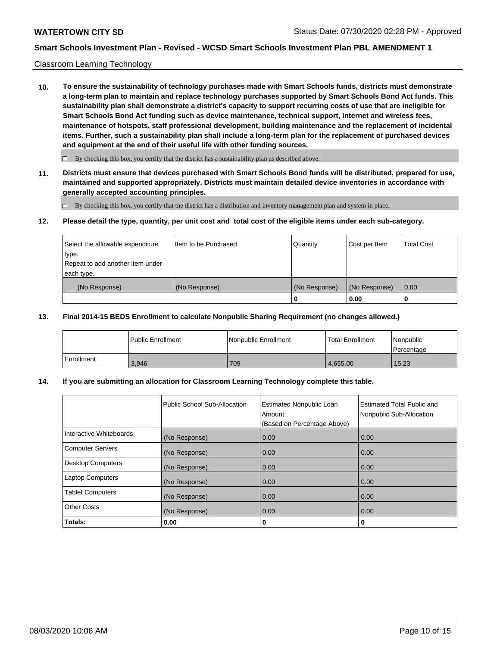## Classroom Learning Technology

**10. To ensure the sustainability of technology purchases made with Smart Schools funds, districts must demonstrate a long-term plan to maintain and replace technology purchases supported by Smart Schools Bond Act funds. This sustainability plan shall demonstrate a district's capacity to support recurring costs of use that are ineligible for Smart Schools Bond Act funding such as device maintenance, technical support, Internet and wireless fees, maintenance of hotspots, staff professional development, building maintenance and the replacement of incidental items. Further, such a sustainability plan shall include a long-term plan for the replacement of purchased devices and equipment at the end of their useful life with other funding sources.**

 $\Box$  By checking this box, you certify that the district has a sustainability plan as described above.

**11. Districts must ensure that devices purchased with Smart Schools Bond funds will be distributed, prepared for use, maintained and supported appropriately. Districts must maintain detailed device inventories in accordance with generally accepted accounting principles.**

By checking this box, you certify that the district has a distribution and inventory management plan and system in place.

## **12. Please detail the type, quantity, per unit cost and total cost of the eligible items under each sub-category.**

| Select the allowable expenditure<br>type.<br>Repeat to add another item under | Item to be Purchased | Quantity      | Cost per Item | <b>Total Cost</b> |
|-------------------------------------------------------------------------------|----------------------|---------------|---------------|-------------------|
| each type.<br>(No Response)                                                   | (No Response)        | (No Response) | (No Response) | 0.00              |
|                                                                               |                      | 0             | 0.00          |                   |

## **13. Final 2014-15 BEDS Enrollment to calculate Nonpublic Sharing Requirement (no changes allowed.)**

|              | l Public Enrollment | Nonpublic Enrollment | <b>Total Enrollment</b> | Nonpublic<br>l Percentage |
|--------------|---------------------|----------------------|-------------------------|---------------------------|
| l Enrollment | 3.946               | 709                  | 4.655.00                | 15.23                     |

## **14. If you are submitting an allocation for Classroom Learning Technology complete this table.**

|                         | Public School Sub-Allocation | <b>Estimated Nonpublic Loan</b><br>Amount<br>(Based on Percentage Above) | Estimated Total Public and<br>Nonpublic Sub-Allocation |
|-------------------------|------------------------------|--------------------------------------------------------------------------|--------------------------------------------------------|
| Interactive Whiteboards | (No Response)                | 0.00                                                                     | 0.00                                                   |
| Computer Servers        | (No Response)                | 0.00                                                                     | 0.00                                                   |
| Desktop Computers       | (No Response)                | 0.00                                                                     | 0.00                                                   |
| <b>Laptop Computers</b> | (No Response)                | 0.00                                                                     | 0.00                                                   |
| <b>Tablet Computers</b> | (No Response)                | 0.00                                                                     | 0.00                                                   |
| Other Costs             | (No Response)                | 0.00                                                                     | 0.00                                                   |
| Totals:                 | 0.00                         | 0                                                                        | 0                                                      |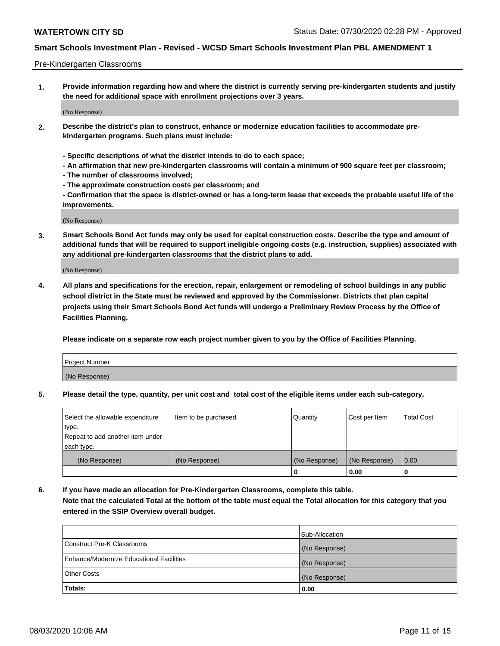## Pre-Kindergarten Classrooms

**1. Provide information regarding how and where the district is currently serving pre-kindergarten students and justify the need for additional space with enrollment projections over 3 years.**

(No Response)

- **2. Describe the district's plan to construct, enhance or modernize education facilities to accommodate prekindergarten programs. Such plans must include:**
	- **Specific descriptions of what the district intends to do to each space;**
	- **An affirmation that new pre-kindergarten classrooms will contain a minimum of 900 square feet per classroom;**
	- **The number of classrooms involved;**
	- **The approximate construction costs per classroom; and**
	- **Confirmation that the space is district-owned or has a long-term lease that exceeds the probable useful life of the improvements.**

(No Response)

**3. Smart Schools Bond Act funds may only be used for capital construction costs. Describe the type and amount of additional funds that will be required to support ineligible ongoing costs (e.g. instruction, supplies) associated with any additional pre-kindergarten classrooms that the district plans to add.**

(No Response)

**4. All plans and specifications for the erection, repair, enlargement or remodeling of school buildings in any public school district in the State must be reviewed and approved by the Commissioner. Districts that plan capital projects using their Smart Schools Bond Act funds will undergo a Preliminary Review Process by the Office of Facilities Planning.**

**Please indicate on a separate row each project number given to you by the Office of Facilities Planning.**

| Project Number |  |
|----------------|--|
| (No Response)  |  |
|                |  |

**5. Please detail the type, quantity, per unit cost and total cost of the eligible items under each sub-category.**

| Select the allowable expenditure | Item to be purchased | Quantity      | Cost per Item | <b>Total Cost</b> |
|----------------------------------|----------------------|---------------|---------------|-------------------|
| type.                            |                      |               |               |                   |
| Repeat to add another item under |                      |               |               |                   |
| each type.                       |                      |               |               |                   |
| (No Response)                    | (No Response)        | (No Response) | (No Response) | 0.00              |
|                                  |                      | U             | 0.00          |                   |

**6. If you have made an allocation for Pre-Kindergarten Classrooms, complete this table. Note that the calculated Total at the bottom of the table must equal the Total allocation for this category that you entered in the SSIP Overview overall budget.**

|                                          | Sub-Allocation |
|------------------------------------------|----------------|
| Construct Pre-K Classrooms               | (No Response)  |
| Enhance/Modernize Educational Facilities | (No Response)  |
| <b>Other Costs</b>                       | (No Response)  |
| Totals:                                  | 0.00           |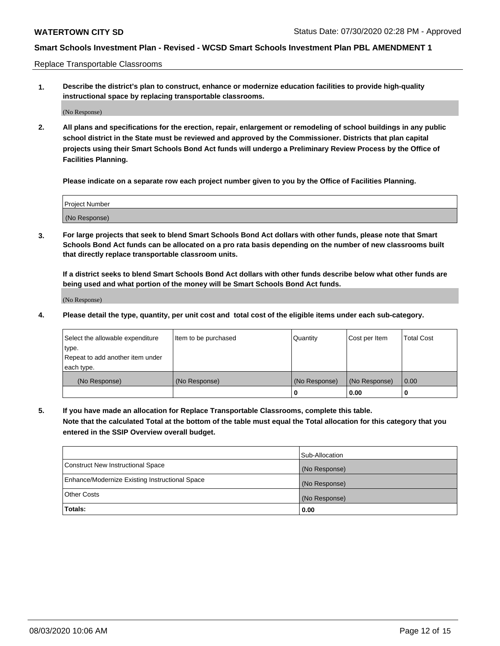Replace Transportable Classrooms

**1. Describe the district's plan to construct, enhance or modernize education facilities to provide high-quality instructional space by replacing transportable classrooms.**

(No Response)

**2. All plans and specifications for the erection, repair, enlargement or remodeling of school buildings in any public school district in the State must be reviewed and approved by the Commissioner. Districts that plan capital projects using their Smart Schools Bond Act funds will undergo a Preliminary Review Process by the Office of Facilities Planning.**

**Please indicate on a separate row each project number given to you by the Office of Facilities Planning.**

| Project Number |  |
|----------------|--|
|                |  |
| (No Response)  |  |

**3. For large projects that seek to blend Smart Schools Bond Act dollars with other funds, please note that Smart Schools Bond Act funds can be allocated on a pro rata basis depending on the number of new classrooms built that directly replace transportable classroom units.**

**If a district seeks to blend Smart Schools Bond Act dollars with other funds describe below what other funds are being used and what portion of the money will be Smart Schools Bond Act funds.**

(No Response)

**4. Please detail the type, quantity, per unit cost and total cost of the eligible items under each sub-category.**

| Select the allowable expenditure | Item to be purchased | Quantity      | Cost per Item | Total Cost |
|----------------------------------|----------------------|---------------|---------------|------------|
| ∣type.                           |                      |               |               |            |
| Repeat to add another item under |                      |               |               |            |
| each type.                       |                      |               |               |            |
| (No Response)                    | (No Response)        | (No Response) | (No Response) | 0.00       |
|                                  |                      | u             | 0.00          |            |

**5. If you have made an allocation for Replace Transportable Classrooms, complete this table. Note that the calculated Total at the bottom of the table must equal the Total allocation for this category that you entered in the SSIP Overview overall budget.**

|                                                | Sub-Allocation |
|------------------------------------------------|----------------|
| Construct New Instructional Space              | (No Response)  |
| Enhance/Modernize Existing Instructional Space | (No Response)  |
| <b>Other Costs</b>                             | (No Response)  |
| Totals:                                        | 0.00           |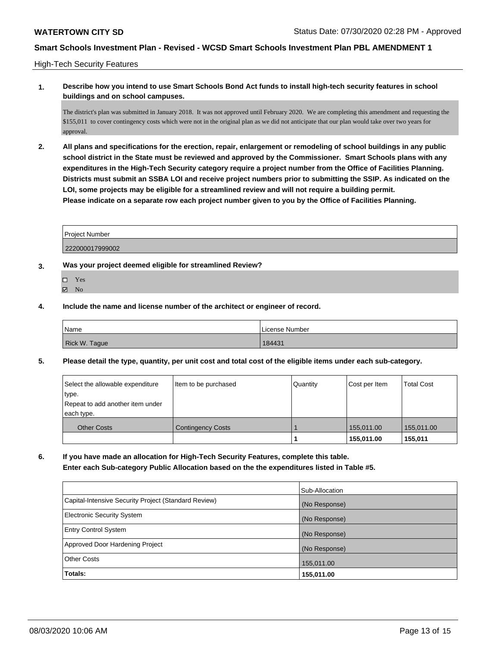High-Tech Security Features

**1. Describe how you intend to use Smart Schools Bond Act funds to install high-tech security features in school buildings and on school campuses.**

The district's plan was submitted in January 2018. It was not approved until February 2020. We are completing this amendment and requesting the \$155,011 to cover contingency costs which were not in the original plan as we did not anticipate that our plan would take over two years for approval.

**2. All plans and specifications for the erection, repair, enlargement or remodeling of school buildings in any public school district in the State must be reviewed and approved by the Commissioner. Smart Schools plans with any expenditures in the High-Tech Security category require a project number from the Office of Facilities Planning. Districts must submit an SSBA LOI and receive project numbers prior to submitting the SSIP. As indicated on the LOI, some projects may be eligible for a streamlined review and will not require a building permit. Please indicate on a separate row each project number given to you by the Office of Facilities Planning.**

| <b>Project Number</b> |  |
|-----------------------|--|
| 222000017999002       |  |

- **3. Was your project deemed eligible for streamlined Review?**
	- Yes
	- $\boxtimes$  No
- **4. Include the name and license number of the architect or engineer of record.**

| Name          | License Number |
|---------------|----------------|
| Rick W. Tague | 184431         |

**5. Please detail the type, quantity, per unit cost and total cost of the eligible items under each sub-category.**

| Select the allowable expenditure<br>type.<br>Repeat to add another item under<br>each type. | Item to be purchased     | Quantity | Cost per Item | <b>Total Cost</b> |
|---------------------------------------------------------------------------------------------|--------------------------|----------|---------------|-------------------|
| <b>Other Costs</b>                                                                          | <b>Contingency Costs</b> |          | 155.011.00    | 155,011.00        |
|                                                                                             |                          |          | 155,011.00    | 155,011           |

**6. If you have made an allocation for High-Tech Security Features, complete this table. Enter each Sub-category Public Allocation based on the the expenditures listed in Table #5.**

|                                                      | Sub-Allocation |
|------------------------------------------------------|----------------|
| Capital-Intensive Security Project (Standard Review) | (No Response)  |
| <b>Electronic Security System</b>                    | (No Response)  |
| <b>Entry Control System</b>                          | (No Response)  |
| Approved Door Hardening Project                      | (No Response)  |
| <b>Other Costs</b>                                   | 155,011.00     |
| Totals:                                              | 155,011.00     |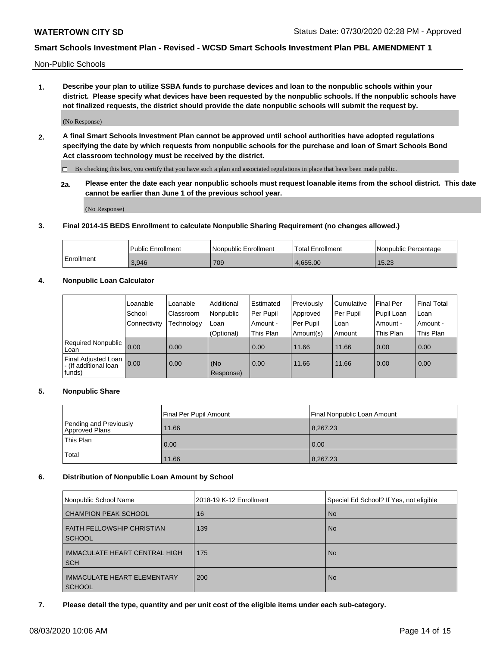Non-Public Schools

**1. Describe your plan to utilize SSBA funds to purchase devices and loan to the nonpublic schools within your district. Please specify what devices have been requested by the nonpublic schools. If the nonpublic schools have not finalized requests, the district should provide the date nonpublic schools will submit the request by.**

(No Response)

**2. A final Smart Schools Investment Plan cannot be approved until school authorities have adopted regulations specifying the date by which requests from nonpublic schools for the purchase and loan of Smart Schools Bond Act classroom technology must be received by the district.**

By checking this box, you certify that you have such a plan and associated regulations in place that have been made public.

**2a. Please enter the date each year nonpublic schools must request loanable items from the school district. This date cannot be earlier than June 1 of the previous school year.**

(No Response)

## **3. Final 2014-15 BEDS Enrollment to calculate Nonpublic Sharing Requirement (no changes allowed.)**

|            | l Public Enrollment | Nonpublic Enrollment | Total Enrollment | l Nonpublic Percentage |
|------------|---------------------|----------------------|------------------|------------------------|
| Enrollment | 3.946               | 709                  | 4.655.00         | 15.23                  |

## **4. Nonpublic Loan Calculator**

|                                                        | Loanable     | Loanable   | Additional       | Estimated | Previously | Cumulative | Final Per  | <b>Final Total</b> |
|--------------------------------------------------------|--------------|------------|------------------|-----------|------------|------------|------------|--------------------|
|                                                        | School       | Classroom  | Nonpublic        | Per Pupil | Approved   | Per Pupil  | Pupil Loan | Loan               |
|                                                        | Connectivity | Technology | Loan             | Amount -  | Per Pupil  | Loan       | Amount -   | Amount -           |
|                                                        |              |            | (Optional)       | This Plan | Amount(s)  | Amount     | This Plan  | This Plan          |
| Required Nonpublic<br>Loan                             | 0.00         | 0.00       |                  | 0.00      | 11.66      | 11.66      | 0.00       | 0.00               |
| Final Adjusted Loan<br>- (If additional loan<br>funds) | 0.00         | 0.00       | (No<br>Response) | 0.00      | 11.66      | 11.66      | 0.00       | 0.00               |

## **5. Nonpublic Share**

| Final Per Pupil Amount                   |       | Final Nonpublic Loan Amount |
|------------------------------------------|-------|-----------------------------|
| Pending and Previously<br>Approved Plans | 11.66 | 8,267.23                    |
| This Plan                                | 0.00  | 0.00                        |
| Total                                    | 11.66 | 8,267.23                    |

## **6. Distribution of Nonpublic Loan Amount by School**

| Nonpublic School Name                               | 2018-19 K-12 Enrollment | Special Ed School? If Yes, not eligible |
|-----------------------------------------------------|-------------------------|-----------------------------------------|
| <b>CHAMPION PEAK SCHOOL</b>                         | 16                      | <b>No</b>                               |
| <b>FAITH FELLOWSHIP CHRISTIAN</b><br><b>SCHOOL</b>  | 139                     | <b>No</b>                               |
| <b>IMMACULATE HEART CENTRAL HIGH</b><br><b>SCH</b>  | 175                     | <b>No</b>                               |
| <b>IMMACULATE HEART ELEMENTARY</b><br><b>SCHOOL</b> | 200                     | <b>No</b>                               |

**7. Please detail the type, quantity and per unit cost of the eligible items under each sub-category.**